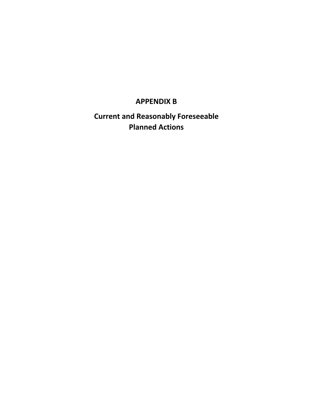# **APPENDIX B**

**Current and Reasonably Foreseeable Planned Actions**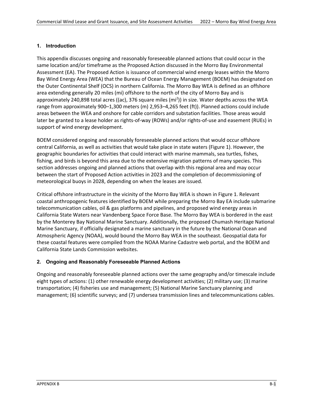# **1. Introduction**

This appendix discusses ongoing and reasonably foreseeable planned actions that could occur in the same location and/or timeframe as the Proposed Action discussed in the Morro Bay Environmental Assessment (EA). The Proposed Action is issuance of commercial wind energy leases within the Morro Bay Wind Energy Area (WEA) that the Bureau of Ocean Energy Management (BOEM) has designated on the Outer Continental Shelf (OCS) in northern California. The Morro Bay WEA is defined as an offshore area extending generally 20 miles (mi) offshore to the north of the city of Morro Bay and is approximately 240,898 total acres ((ac), 376 square miles (mi<sup>2</sup>)) in size. Water depths across the WEA range from approximately 900–1,300 meters (m) 2,953–4,265 feet (ft)). Planned actions could include areas between the WEA and onshore for cable corridors and substation facilities. Those areas would later be granted to a lease holder as rights-of-way (ROWs) and/or rights-of-use and easement (RUEs) in support of wind energy development.

BOEM considered ongoing and reasonably foreseeable planned actions that would occur offshore central California, as well as activities that would take place in state waters [\(Figure 1\)](#page-1-0). However, the geographic boundaries for activities that could interact with marine mammals, sea turtles, fishes, fishing, and birds is beyond this area due to the extensive migration patterns of many species. This section addresses ongoing and planned actions that overlap with this regional area and may occur between the start of Proposed Action activities in 2023 and the completion of decommissioning of meteorological buoys in 2028, depending on when the leases are issued.

Critical offshore infrastructure in the vicinity of the Morro Bay WEA is shown in [Figure 1.](#page-1-0) Relevant coastal anthropogenic features identified by BOEM while preparing the Morro Bay EA include submarine telecommunication cables, oil & gas platforms and pipelines, and proposed wind energy areas in California State Waters near Vandenberg Space Force Base. The Morro Bay WEA is bordered in the east by the Monterey Bay National Marine Sanctuary. Additionally, the proposed Chumash Heritage National Marine Sanctuary, if officially designated a marine sanctuary in the future by the National Ocean and Atmospheric Agency (NOAA), would bound the Morro Bay WEA in the southeast. Geospatial data for these coastal features were compiled from the NOAA Marine Cadastre web portal, and the BOEM and California State Lands Commission websites.

## <span id="page-1-0"></span>**2. Ongoing and Reasonably Foreseeable Planned Actions**

Ongoing and reasonably foreseeable planned actions over the same geography and/or timescale include eight types of actions: (1) other renewable energy development activities; (2) military use; (3) marine transportation; (4) fisheries use and management; (5) National Marine Sanctuary planning and management; (6) scientific surveys; and (7) undersea transmission lines and telecommunications cables.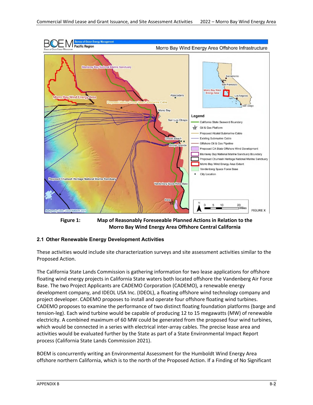

**Figure 1: Map of Reasonably Foreseeable Planned Actions in Relation to the Morro Bay Wind Energy Area Offshore Central California**

# **2.1 Other Renewable Energy Development Activities**

These activities would include site characterization surveys and site assessment activities similar to the Proposed Action.

The California State Lands Commission is gathering information for two lease applications for offshore floating wind energy projects in California State waters both located offshore the Vandenberg Air Force Base. The two Project Applicants are CADEMO Corporation (CADEMO), a renewable energy development company, and IDEOL USA Inc. (IDEOL), a floating offshore wind technology company and project developer. CADEMO proposes to install and operate four offshore floating wind turbines. CADEMO proposes to examine the performance of two distinct floating foundation platforms (barge and tension-leg). Each wind turbine would be capable of producing 12 to 15 megawatts (MW) of renewable electricity. A combined maximum of 60 MW could be generated from the proposed four wind turbines, which would be connected in a series with electrical inter-array cables. The precise lease area and activities would be evaluated further by the State as part of a State Environmental Impact Report process (California State Lands Commission 2021).

BOEM is concurrently writing an Environmental Assessment for the Humboldt Wind Energy Area offshore northern California, which is to the north of the Proposed Action. If a Finding of No Significant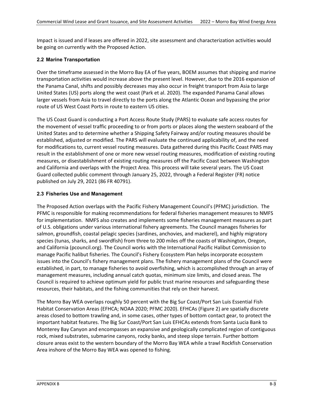Impact is issued and if leases are offered in 2022, site assessment and characterization activities would be going on currently with the Proposed Action.

## **2.2 Marine Transportation**

Over the timeframe assessed in the Morro Bay EA of five years, BOEM assumes that shipping and marine transportation activities would increase above the present level. However, due to the 2016 expansion of the Panama Canal, shifts and possibly decreases may also occur in freight transport from Asia to large United States (US) ports along the west coast (Park et al. 2020). The expanded Panama Canal allows larger vessels from Asia to travel directly to the ports along the Atlantic Ocean and bypassing the prior route of US West Coast Ports in route to eastern US cities.

The US Coast Guard is conducting a Port Access Route Study (PARS) to evaluate safe access routes for the movement of vessel traffic proceeding to or from ports or places along the western seaboard of the United States and to determine whether a Shipping Safety Fairway and/or routing measures should be established, adjusted or modified. The PARS will evaluate the continued applicability of, and the need for modifications to, current vessel routing measures. Data gathered during this Pacific Coast PARS may result in the establishment of one or more new vessel routing measures, modification of existing routing measures, or disestablishment of existing routing measures off the Pacific Coast between Washington and California and overlaps with the Project Area. This process will take several years. The US Coast Guard collected public comment through January 25, 2022, through a Federal Register (FR) notice published on July 29, 2021 (86 FR 40791).

#### **2.3 Fisheries Use and Management**

The Proposed Action overlaps with the Pacific Fishery Management Council's (PFMC) jurisdiction. The PFMC is responsible for making recommendations for federal fisheries management measures to NMFS for implementation. NMFS also creates and implements some fisheries management measures as part of U.S. obligations under various international fishery agreements. The Council manages fisheries for salmon, groundfish, coastal pelagic species (sardines, anchovies, and mackerel), and highly migratory species (tunas, sharks, and swordfish) from three to 200 miles off the coasts of Washington, Oregon, and California (pcouncil.org). The Council works with the International Pacific Halibut Commission to manage Pacific halibut fisheries. The Council's Fishery Ecosystem Plan helps incorporate ecosystem issues into the Council's fishery management plans. The fishery management plans of the Council were established, in part, to manage fisheries to avoid overfishing, which is accomplished through an array of management measures, including annual catch quotas, minimum size limits, and closed areas. The Council is required to achieve optimum yield for public trust marine resources and safeguarding these resources, their habitats, and the fishing communities that rely on their harvest.

The Morro Bay WEA overlaps roughly 50 percent with the Big Sur Coast/Port San Luis Essential Fish Habitat Conservation Areas (EFHCA; NOAA 2020; PFMC 2020). EFHCAs [\(Figure 2\)](#page-4-0) are spatially discrete areas closed to bottom trawling and, in some cases, other types of bottom contact gear, to protect the important habitat features. The Big Sur Coast/Port San Luis EFHCAs extends from Santa Lucia Bank to Monterey Bay Canyon and encompasses an expansive and geologically complicated region of contiguous rock, mixed substrates, submarine canyons, rocky banks, and steep slope terrain. Further bottom closure areas exist to the western boundary of the Morro Bay WEA while a trawl Rockfish Conservation Area inshore of the Morro Bay WEA was opened to fishing.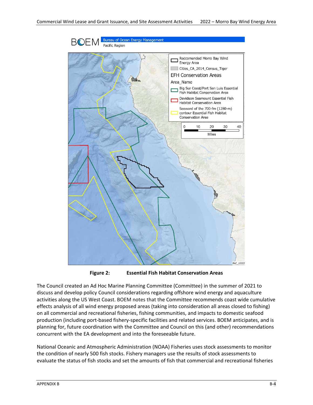

**Figure 2: Essential Fish Habitat Conservation Areas**

<span id="page-4-0"></span>The Council created an Ad Hoc Marine Planning Committee (Committee) in the summer of 2021 to discuss and develop policy Council considerations regarding offshore wind energy and aquaculture activities along the US West Coast. BOEM notes that the Committee recommends coast wide cumulative effects analysis of all wind energy proposed areas (taking into consideration all areas closed to fishing) on all commercial and recreational fisheries, fishing communities, and impacts to domestic seafood production (including port-based fishery-specific facilities and related services. BOEM anticipates, and is planning for, future coordination with the Committee and Council on this (and other) recommendations concurrent with the EA development and into the foreseeable future.

National Oceanic and Atmospheric Administration (NOAA) Fisheries uses [stock assessments](https://www.fisheries.noaa.gov/topic/population-assessments#fish-stocks%20) to monitor the condition of nearly 500 fish stocks. Fishery managers use the results of stock assessments to evaluate the status of fish stocks and set the amounts of fish that commercial and recreational fisheries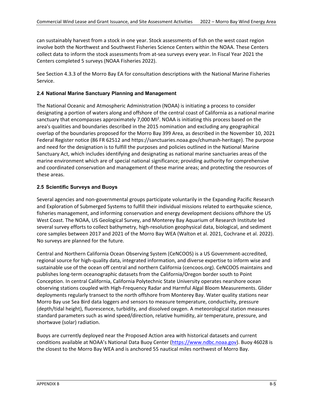can sustainably harvest from a stock in one year. Stock assessments of fish on the west coast region involve both the Northwest and Southwest Fisheries Science Centers within the NOAA. These Centers collect data to inform the stock assessments from at-sea surveys every year. In Fiscal Year 2021 the Centers completed 5 surveys (NOAA Fisheries 2022).

See Section 4.3.3 of the Morro Bay EA for consultation descriptions with the National Marine Fisheries Service.

#### **2.4 National Marine Sanctuary Planning and Management**

The National Oceanic and Atmospheric Administration (NOAA) is initiating a process to consider designating a portion of waters along and offshore of the central coast of California as a national marine sanctuary that encompasses approximately 7,000 MI<sup>2</sup>. NOAA is initiating this process based on the area's qualities and boundaries described in the 2015 nomination and excluding any geographical overlap of the boundaries proposed for the Morro Bay 399 Area, as described in the November 10, 2021 Federal Register notice (86 FR 62512 and https://sanctuaries.noaa.gov/chumash-heritage). The purpose and need for the designation is to fulfill the purposes and policies outlined in the National Marine Sanctuary Act, which includes identifying and designating as national marine sanctuaries areas of the marine environment which are of special national significance; providing authority for comprehensive and coordinated conservation and management of these marine areas; and protecting the resources of these areas.

#### **2.5 Scientific Surveys and Buoys**

Several agencies and non-governmental groups participate voluntarily in the Expanding Pacific Research and Exploration of Submerged Systems to fulfill their individual missions related to earthquake science, fisheries management, and informing conservation and energy development decisions offshore the US West Coast. The NOAA, US Geological Survey, and Monterey Bay Aquarium of Research Institute led several survey efforts to collect bathymetry, high-resolution geophysical data, biological, and sediment core samples between 2017 and 2021 of the Morro Bay WEA (Walton et al. 2021, Cochrane et al. 2022). No surveys are planned for the future.

Central and Northern California Ocean Observing System (CeNCOOS) is a US Government-accredited, regional source for high-quality data, integrated information, and diverse expertise to inform wise and sustainable use of the ocean off central and northern California (cencoos.org). CeNCOOS maintains and publishes long-term oceanographic datasets from the California/Oregon border south to Point Conception. In central California, California Polytechnic State University operates nearshore ocean observing stations coupled with High-Frequency Radar and Harmful Algal Bloom Measurements. Glider deployments regularly transect to the north offshore from Monterey Bay. Water quality stations near Morro Bay use Sea Bird data loggers and sensors to measure temperature, conductivity, pressure (depth/tidal height), fluorescence, turbidity, and dissolved oxygen. A meteorological station measures standard parameters such as wind speed/direction, relative humidity, air temperature, pressure, and shortwave (solar) radiation.

Buoys are currently deployed near the Proposed Action area with historical datasets and current conditions available at NOAA's National Data Buoy Center [\(https://www.ndbc.noaa.gov\)](https://www.ndbc.noaa.gov/). Buoy 46028 is the closest to the Morro Bay WEA and is anchored 55 nautical miles northwest of Morro Bay.